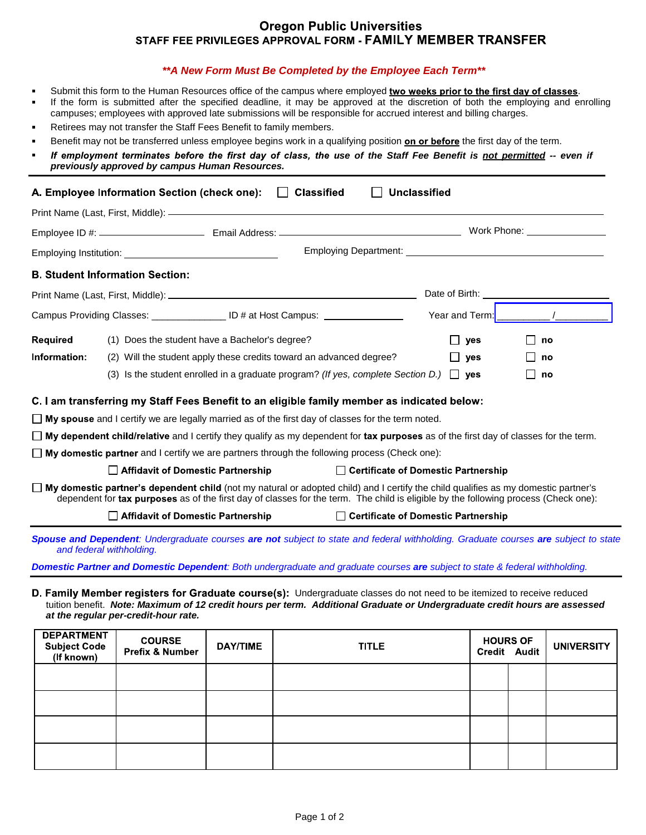## **Oregon Public Universities** STAFF FEE PRIVILEGES APPROVAL FORM - FAMILY MEMBER TRANSFER

## *\*\*A New Form Must Be Completed by the Employee Each Term\*\**

- ÷. Submit this form to the Human Resources office of the campus where employed two weeks prior to the first day of classes.
- If the form is submitted after the specified deadline, it may be approved at the discretion of both the employing and enrolling campuses; employees with approved late submissions will be responsible for accrued interest and billing charges.
- Retirees may not transfer the Staff Fees Benefit to family members. ÷
- Benefit may not be transferred unless employee begins work in a qualifying position on or before the first day of the term.
- If employment terminates before the first day of class, the use of the Staff Fee Benefit is not permitted -- even if *previously approved by campus Human Resources.*

| A. Employee Information Section (check one): Classified<br>Unclassified                                                                                                                                                                                                          |                                                                                                                                                                 |                                       |            |    |  |  |  |
|----------------------------------------------------------------------------------------------------------------------------------------------------------------------------------------------------------------------------------------------------------------------------------|-----------------------------------------------------------------------------------------------------------------------------------------------------------------|---------------------------------------|------------|----|--|--|--|
|                                                                                                                                                                                                                                                                                  |                                                                                                                                                                 |                                       |            |    |  |  |  |
|                                                                                                                                                                                                                                                                                  |                                                                                                                                                                 |                                       |            |    |  |  |  |
|                                                                                                                                                                                                                                                                                  |                                                                                                                                                                 |                                       |            |    |  |  |  |
|                                                                                                                                                                                                                                                                                  | <b>B. Student Information Section:</b>                                                                                                                          |                                       |            |    |  |  |  |
| Date of Birth: <u>contract and the set of Birth:</u>                                                                                                                                                                                                                             |                                                                                                                                                                 |                                       |            |    |  |  |  |
|                                                                                                                                                                                                                                                                                  |                                                                                                                                                                 |                                       |            |    |  |  |  |
| <b>Required</b>                                                                                                                                                                                                                                                                  | (1) Does the student have a Bachelor's degree?                                                                                                                  |                                       | yes        | no |  |  |  |
| Information:                                                                                                                                                                                                                                                                     | (2) Will the student apply these credits toward an advanced degree?                                                                                             |                                       | <b>yes</b> | no |  |  |  |
|                                                                                                                                                                                                                                                                                  | (3) Is the student enrolled in a graduate program? (If yes, complete Section D.) $\Box$ yes                                                                     |                                       |            | no |  |  |  |
| C. I am transferring my Staff Fees Benefit to an eligible family member as indicated below:                                                                                                                                                                                      |                                                                                                                                                                 |                                       |            |    |  |  |  |
| $\Box$ My spouse and I certify we are legally married as of the first day of classes for the term noted.                                                                                                                                                                         |                                                                                                                                                                 |                                       |            |    |  |  |  |
|                                                                                                                                                                                                                                                                                  | $\Box$ My dependent child/relative and I certify they qualify as my dependent for tax purposes as of the first day of classes for the term.                     |                                       |            |    |  |  |  |
| $\Box$ My domestic partner and I certify we are partners through the following process (Check one):                                                                                                                                                                              |                                                                                                                                                                 |                                       |            |    |  |  |  |
|                                                                                                                                                                                                                                                                                  | <b>Affidavit of Domestic Partnership</b>                                                                                                                        | □ Certificate of Domestic Partnership |            |    |  |  |  |
| $\Box$ My domestic partner's dependent child (not my natural or adopted child) and I certify the child qualifies as my domestic partner's<br>dependent for tax purposes as of the first day of classes for the term. The child is eligible by the following process (Check one): |                                                                                                                                                                 |                                       |            |    |  |  |  |
|                                                                                                                                                                                                                                                                                  | <b>Affidavit of Domestic Partnership</b>                                                                                                                        | □ Certificate of Domestic Partnership |            |    |  |  |  |
|                                                                                                                                                                                                                                                                                  | Spouse and Dependent: Undergraduate courses are not subject to state and federal withholding. Graduate courses are subject to state<br>and federal withholding. |                                       |            |    |  |  |  |

*Domestic Partner and Domestic Dependent: Both undergraduate and graduate courses are subject to state & federal withholding.*

D. Family Member registers for Graduate course(s): Undergraduate classes do not need to be itemized to receive reduced tuition benefit. *Note: Maximum of 12 credit hours per term. Additional Graduate or Undergraduate credit hours are assessed at the regular per-credit-hour rate.*

| <b>DEPARTMENT</b><br>Subject Code<br>(If known) | <b>COURSE</b><br>Prefix & Number | <b>DAY/TIME</b> | <b>TITLE</b> | <b>HOURS OF</b> | Credit Audit | <b>UNIVERSITY</b> |
|-------------------------------------------------|----------------------------------|-----------------|--------------|-----------------|--------------|-------------------|
|                                                 |                                  |                 |              |                 |              |                   |
|                                                 |                                  |                 |              |                 |              |                   |
|                                                 |                                  |                 |              |                 |              |                   |
|                                                 |                                  |                 |              |                 |              |                   |